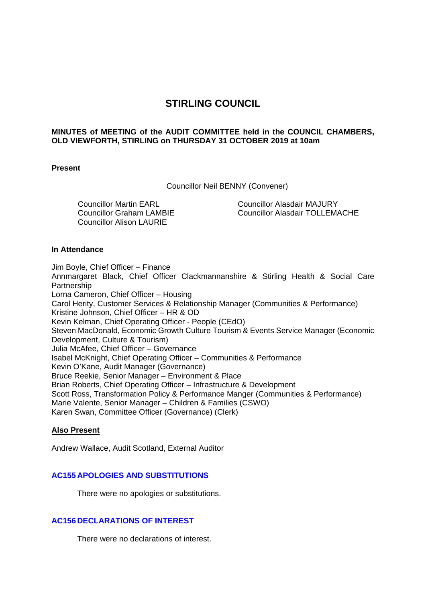# **STIRLING COUNCIL**

# **MINUTES of MEETING of the AUDIT COMMITTEE held in the COUNCIL CHAMBERS, OLD VIEWFORTH, STIRLING on THURSDAY 31 OCTOBER 2019 at 10am**

### **Present**

Councillor Neil BENNY (Convener)

Councillor Martin EARL Councillor Graham LAMBIE Councillor Alison LAURIE

Councillor Alasdair MAJURY Councillor Alasdair TOLLEMACHE

### **In Attendance**

Jim Boyle, Chief Officer – Finance Annmargaret Black, Chief Officer Clackmannanshire & Stirling Health & Social Care Partnership Lorna Cameron, Chief Officer – Housing Carol Herity, Customer Services & Relationship Manager (Communities & Performance) Kristine Johnson, Chief Officer – HR & OD Kevin Kelman, Chief Operating Officer - People (CEdO) Steven MacDonald, Economic Growth Culture Tourism & Events Service Manager (Economic Development, Culture & Tourism) Julia McAfee, Chief Officer – Governance Isabel McKnight, Chief Operating Officer – Communities & Performance Kevin O'Kane, Audit Manager (Governance) Bruce Reekie, Senior Manager – Environment & Place Brian Roberts, Chief Operating Officer – Infrastructure & Development Scott Ross, Transformation Policy & Performance Manger (Communities & Performance) Marie Valente, Senior Manager – Children & Families (CSWO) Karen Swan, Committee Officer (Governance) (Clerk)

### **Also Present**

Andrew Wallace, Audit Scotland, External Auditor

# **AC155 APOLOGIES AND SUBSTITUTIONS**

There were no apologies or substitutions.

# **AC156 DECLARATIONS OF INTEREST**

There were no declarations of interest.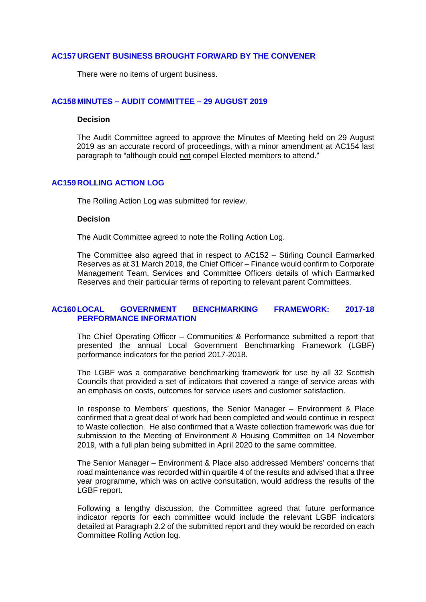#### **AC157 URGENT BUSINESS BROUGHT FORWARD BY THE CONVENER**

There were no items of urgent business.

### **AC158 MINUTES – AUDIT COMMITTEE – 29 AUGUST 2019**

#### **Decision**

The Audit Committee agreed to approve the Minutes of Meeting held on 29 August 2019 as an accurate record of proceedings, with a minor amendment at AC154 last paragraph to "although could not compel Elected members to attend."

#### **AC159 ROLLING ACTION LOG**

The Rolling Action Log was submitted for review.

#### **Decision**

The Audit Committee agreed to note the Rolling Action Log.

The Committee also agreed that in respect to AC152 – Stirling Council Earmarked Reserves as at 31 March 2019, the Chief Officer – Finance would confirm to Corporate Management Team, Services and Committee Officers details of which Earmarked Reserves and their particular terms of reporting to relevant parent Committees.

### **AC160 LOCAL GOVERNMENT BENCHMARKING FRAMEWORK: 2017-18 PERFORMANCE INFORMATION**

The Chief Operating Officer – Communities & Performance submitted a report that presented the annual Local Government Benchmarking Framework (LGBF) performance indicators for the period 2017-2018.

The LGBF was a comparative benchmarking framework for use by all 32 Scottish Councils that provided a set of indicators that covered a range of service areas with an emphasis on costs, outcomes for service users and customer satisfaction.

In response to Members' questions, the Senior Manager – Environment & Place confirmed that a great deal of work had been completed and would continue in respect to Waste collection. He also confirmed that a Waste collection framework was due for submission to the Meeting of Environment & Housing Committee on 14 November 2019, with a full plan being submitted in April 2020 to the same committee.

The Senior Manager – Environment & Place also addressed Members' concerns that road maintenance was recorded within quartile 4 of the results and advised that a three year programme, which was on active consultation, would address the results of the LGBF report.

Following a lengthy discussion, the Committee agreed that future performance indicator reports for each committee would include the relevant LGBF indicators detailed at Paragraph 2.2 of the submitted report and they would be recorded on each Committee Rolling Action log.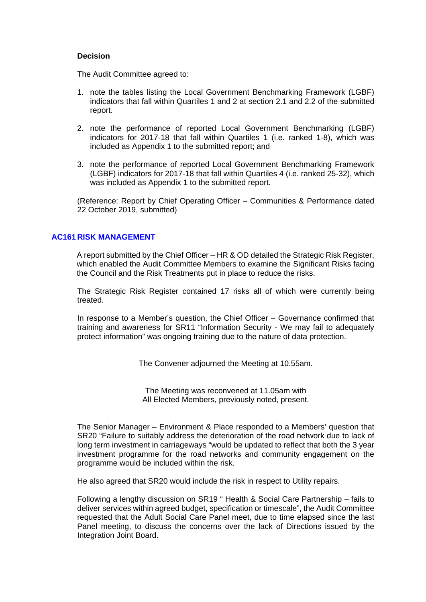#### **Decision**

The Audit Committee agreed to:

- 1. note the tables listing the Local Government Benchmarking Framework (LGBF) indicators that fall within Quartiles 1 and 2 at section 2.1 and 2.2 of the submitted report.
- 2. note the performance of reported Local Government Benchmarking (LGBF) indicators for 2017-18 that fall within Quartiles 1 (i.e. ranked 1-8), which was included as Appendix 1 to the submitted report; and
- 3. note the performance of reported Local Government Benchmarking Framework (LGBF) indicators for 2017-18 that fall within Quartiles 4 (i.e. ranked 25-32), which was included as Appendix 1 to the submitted report.

(Reference: Report by Chief Operating Officer – Communities & Performance dated 22 October 2019, submitted)

### **AC161 RISK MANAGEMENT**

A report submitted by the Chief Officer – HR & OD detailed the Strategic Risk Register, which enabled the Audit Committee Members to examine the Significant Risks facing the Council and the Risk Treatments put in place to reduce the risks.

The Strategic Risk Register contained 17 risks all of which were currently being treated.

In response to a Member's question, the Chief Officer – Governance confirmed that training and awareness for SR11 "Information Security - We may fail to adequately protect information" was ongoing training due to the nature of data protection.

The Convener adjourned the Meeting at 10.55am.

The Meeting was reconvened at 11.05am with All Elected Members, previously noted, present.

The Senior Manager – Environment & Place responded to a Members' question that SR20 "Failure to suitably address the deterioration of the road network due to lack of long term investment in carriageways "would be updated to reflect that both the 3 year investment programme for the road networks and community engagement on the programme would be included within the risk.

He also agreed that SR20 would include the risk in respect to Utility repairs.

Following a lengthy discussion on SR19 " Health & Social Care Partnership – fails to deliver services within agreed budget, specification or timescale", the Audit Committee requested that the Adult Social Care Panel meet, due to time elapsed since the last Panel meeting, to discuss the concerns over the lack of Directions issued by the Integration Joint Board.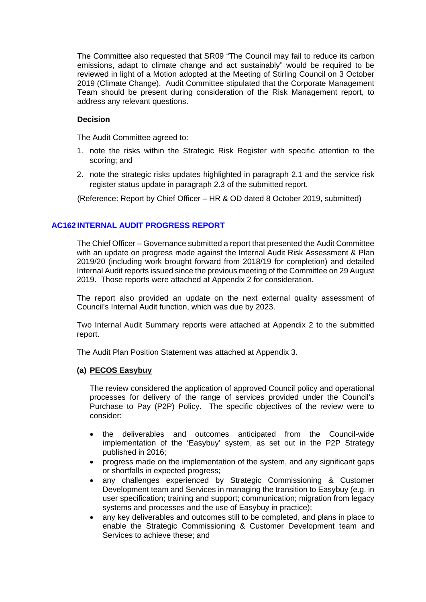The Committee also requested that SR09 "The Council may fail to reduce its carbon emissions, adapt to climate change and act sustainably" would be required to be reviewed in light of a Motion adopted at the Meeting of Stirling Council on 3 October 2019 (Climate Change). Audit Committee stipulated that the Corporate Management Team should be present during consideration of the Risk Management report, to address any relevant questions.

# **Decision**

The Audit Committee agreed to:

- 1. note the risks within the Strategic Risk Register with specific attention to the scoring; and
- 2. note the strategic risks updates highlighted in paragraph 2.1 and the service risk register status update in paragraph 2.3 of the submitted report.

(Reference: Report by Chief Officer – HR & OD dated 8 October 2019, submitted)

# **AC162 INTERNAL AUDIT PROGRESS REPORT**

The Chief Officer – Governance submitted a report that presented the Audit Committee with an update on progress made against the Internal Audit Risk Assessment & Plan 2019/20 (including work brought forward from 2018/19 for completion) and detailed Internal Audit reports issued since the previous meeting of the Committee on 29 August 2019. Those reports were attached at Appendix 2 for consideration.

The report also provided an update on the next external quality assessment of Council's Internal Audit function, which was due by 2023.

Two Internal Audit Summary reports were attached at Appendix 2 to the submitted report.

The Audit Plan Position Statement was attached at Appendix 3.

### **(a) PECOS Easybuy**

The review considered the application of approved Council policy and operational processes for delivery of the range of services provided under the Council's Purchase to Pay (P2P) Policy. The specific objectives of the review were to consider:

- the deliverables and outcomes anticipated from the Council-wide implementation of the 'Easybuy' system, as set out in the P2P Strategy published in 2016;
- progress made on the implementation of the system, and any significant gaps or shortfalls in expected progress;
- any challenges experienced by Strategic Commissioning & Customer Development team and Services in managing the transition to Easybuy (e.g. in user specification; training and support; communication; migration from legacy systems and processes and the use of Easybuy in practice);
- any key deliverables and outcomes still to be completed, and plans in place to enable the Strategic Commissioning & Customer Development team and Services to achieve these; and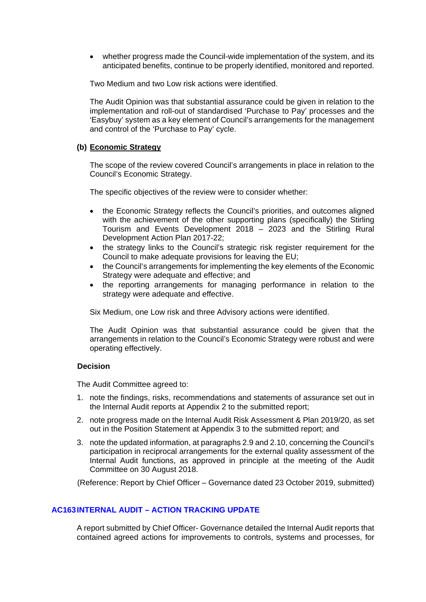whether progress made the Council-wide implementation of the system, and its anticipated benefits, continue to be properly identified, monitored and reported.

Two Medium and two Low risk actions were identified.

The Audit Opinion was that substantial assurance could be given in relation to the implementation and roll-out of standardised 'Purchase to Pay' processes and the 'Easybuy' system as a key element of Council's arrangements for the management and control of the 'Purchase to Pay' cycle.

### **(b) Economic Strategy**

The scope of the review covered Council's arrangements in place in relation to the Council's Economic Strategy.

The specific objectives of the review were to consider whether:

- the Economic Strategy reflects the Council's priorities, and outcomes aligned with the achievement of the other supporting plans (specifically) the Stirling Tourism and Events Development 2018 – 2023 and the Stirling Rural Development Action Plan 2017-22;
- the strategy links to the Council's strategic risk register requirement for the Council to make adequate provisions for leaving the EU;
- the Council's arrangements for implementing the key elements of the Economic Strategy were adequate and effective; and
- the reporting arrangements for managing performance in relation to the strategy were adequate and effective.

Six Medium, one Low risk and three Advisory actions were identified.

The Audit Opinion was that substantial assurance could be given that the arrangements in relation to the Council's Economic Strategy were robust and were operating effectively.

# **Decision**

The Audit Committee agreed to:

- 1. note the findings, risks, recommendations and statements of assurance set out in the Internal Audit reports at Appendix 2 to the submitted report;
- 2. note progress made on the Internal Audit Risk Assessment & Plan 2019/20, as set out in the Position Statement at Appendix 3 to the submitted report; and
- 3. note the updated information, at paragraphs 2.9 and 2.10, concerning the Council's participation in reciprocal arrangements for the external quality assessment of the Internal Audit functions, as approved in principle at the meeting of the Audit Committee on 30 August 2018.

(Reference: Report by Chief Officer – Governance dated 23 October 2019, submitted)

# **AC163 INTERNAL AUDIT – ACTION TRACKING UPDATE**

A report submitted by Chief Officer- Governance detailed the Internal Audit reports that contained agreed actions for improvements to controls, systems and processes, for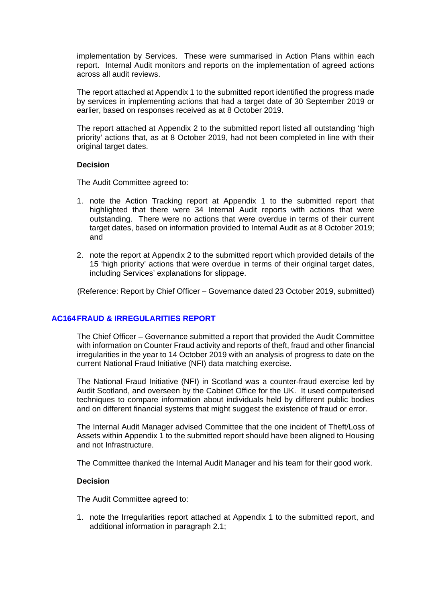implementation by Services. These were summarised in Action Plans within each report. Internal Audit monitors and reports on the implementation of agreed actions across all audit reviews.

The report attached at Appendix 1 to the submitted report identified the progress made by services in implementing actions that had a target date of 30 September 2019 or earlier, based on responses received as at 8 October 2019.

The report attached at Appendix 2 to the submitted report listed all outstanding 'high priority' actions that, as at 8 October 2019, had not been completed in line with their original target dates.

### **Decision**

The Audit Committee agreed to:

- 1. note the Action Tracking report at Appendix 1 to the submitted report that highlighted that there were 34 Internal Audit reports with actions that were outstanding. There were no actions that were overdue in terms of their current target dates, based on information provided to Internal Audit as at 8 October 2019; and
- 2. note the report at Appendix 2 to the submitted report which provided details of the 15 'high priority' actions that were overdue in terms of their original target dates, including Services' explanations for slippage.

(Reference: Report by Chief Officer – Governance dated 23 October 2019, submitted)

# **AC164FRAUD & IRREGULARITIES REPORT**

The Chief Officer – Governance submitted a report that provided the Audit Committee with information on Counter Fraud activity and reports of theft, fraud and other financial irregularities in the year to 14 October 2019 with an analysis of progress to date on the current National Fraud Initiative (NFI) data matching exercise.

The National Fraud Initiative (NFI) in Scotland was a counter-fraud exercise led by Audit Scotland, and overseen by the Cabinet Office for the UK. It used computerised techniques to compare information about individuals held by different public bodies and on different financial systems that might suggest the existence of fraud or error.

The Internal Audit Manager advised Committee that the one incident of Theft/Loss of Assets within Appendix 1 to the submitted report should have been aligned to Housing and not Infrastructure.

The Committee thanked the Internal Audit Manager and his team for their good work.

### **Decision**

The Audit Committee agreed to:

1. note the Irregularities report attached at Appendix 1 to the submitted report, and additional information in paragraph 2.1;